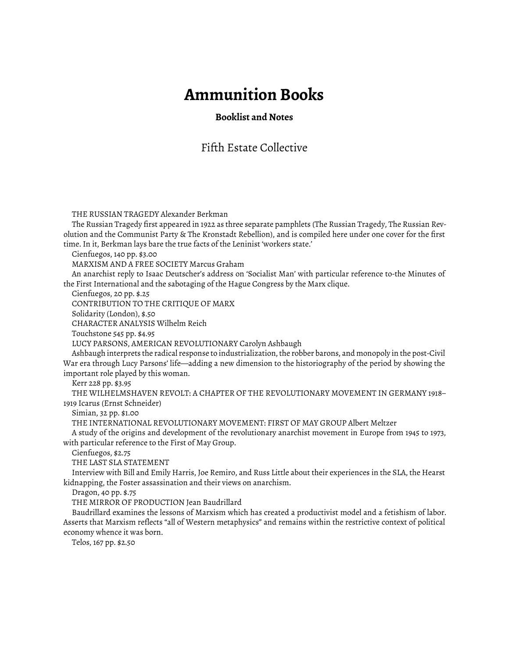# **Ammunition Books**

## **Booklist and Notes**

# Fifth Estate Collective

THE RUSSIAN TRAGEDY Alexander Berkman

The Russian Tragedy first appeared in 1922 as three separate pamphlets (The Russian Tragedy, The Russian Revolution and the Communist Party & The Kronstadt Rebellion), and is compiled here under one cover for the first time. In it, Berkman lays bare the true facts of the Leninist 'workers state.'

Cienfuegos, 140 pp. \$3.00

MARXISM AND A FREE SOCIETY Marcus Graham

An anarchist reply to Isaac Deutscher's address on 'Socialist Man' with particular reference to-the Minutes of the First International and the sabotaging of the Hague Congress by the Marx clique.

Cienfuegos, 20 pp. \$.25

CONTRIBUTION TO THE CRITIQUE OF MARX

Solidarity (London), \$.50

CHARACTER ANALYSIS Wilhelm Reich

Touchstone 545 pp. \$4.95

LUCY PARSONS, AMERICAN REVOLUTIONARY Carolyn Ashbaugh

Ashbaugh interprets the radical response to industrialization, the robber barons, and monopoly in the post-Civil War era through Lucy Parsons' life—adding a new dimension to the historiography of the period by showing the important role played by this woman.

Kerr 228 pp. \$3.95

THE WILHELMSHAVEN REVOLT: A CHAPTER OF THE REVOLUTIONARY MOVEMENT IN GERMANY 1918– 1919 Icarus (Ernst Schneider)

Simian, 32 pp. \$1.00

THE INTERNATIONAL REVOLUTIONARY MOVEMENT: FIRST OF MAY GROUP Albert Meltzer

A study of the origins and development of the revolutionary anarchist movement in Europe from 1945 to 1973, with particular reference to the First of May Group.

Cienfuegos, \$2.75

THE LAST SLA STATEMENT

Interview with Bill and Emily Harris, Joe Remiro, and Russ Little about their experiences in the SLA, the Hearst kidnapping, the Foster assassination and their views on anarchism.

Dragon, 40 pp. \$.75

THE MIRROR OF PRODUCTION Jean Baudrillard

Baudrillard examines the lessons of Marxism which has created a productivist model and a fetishism of labor. Asserts that Marxism reflects "all of Western metaphysics" and remains within the restrictive context of political economy whence it was born.

Telos, 167 pp. \$2.50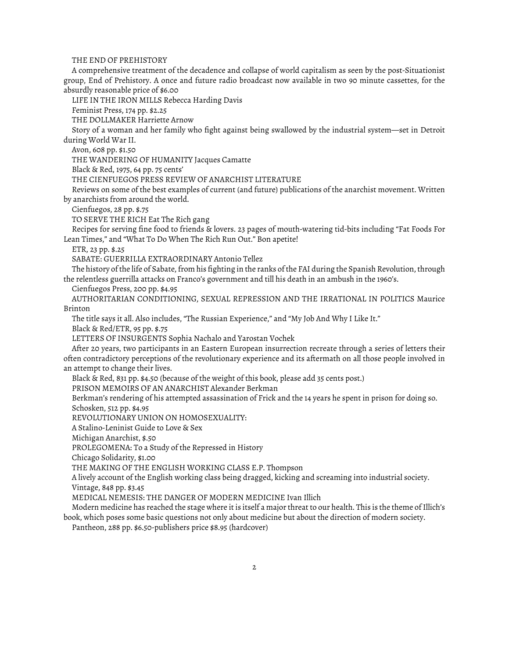#### THE END OF PREHISTORY

A comprehensive treatment of the decadence and collapse of world capitalism as seen by the post-Situationist group, End of Prehistory. A once and future radio broadcast now available in two 90 minute cassettes, for the absurdly reasonable price of \$6.00

LIFE IN THE IRON MILLS Rebecca Harding Davis

Feminist Press, 174 pp. \$2.25

THE DOLLMAKER Harriette Arnow

Story of a woman and her family who fight against being swallowed by the industrial system—set in Detroit during World War II.

Avon, 608 pp. \$1.50

THE WANDERING OF HUMANITY Jacques Camatte

Black & Red, 1975, 64 pp. 75 cents'

THE CIENFUEGOS PRESS REVIEW OF ANARCHIST LITERATURE

Reviews on some of the best examples of current (and future) publications of the anarchist movement. Written by anarchists from around the world.

Cienfuegos, 28 pp. \$.75

TO SERVE THE RICH Eat The Rich gang

Recipes for serving fine food to friends & lovers. 23 pages of mouth-watering tid-bits including "Fat Foods For Lean Times," and "What To Do When The Rich Run Out." Bon apetite!

ETR, 23 pp. \$.25

SABATE: GUERRILLA EXTRAORDINARY Antonio Tellez

The history of the life of Sabate, from his fighting in the ranks of the FAI during the Spanish Revolution, through the relentless guerrilla attacks on Franco's government and till his death in an ambush in the 1960's.

Cienfuegos Press, 200 pp. \$4.95

AUTHORITARIAN CONDITIONING, SEXUAL REPRESSION AND THE IRRATIONAL IN POLITICS Maurice Brinton

The title says it all. Also includes, "The Russian Experience," and "My Job And Why I Like It."

Black & Red/ETR, 95 pp. \$.75

LETTERS OF INSURGENTS Sophia Nachalo and Yarostan Vochek

After 20 years, two participants in an Eastern European insurrection recreate through a series of letters their often contradictory perceptions of the revolutionary experience and its aftermath on all those people involved in an attempt to change their lives.

Black & Red, 831 pp. \$4.50 (because of the weight of this book, please add 35 cents post.)

PRISON MEMOIRS OF AN ANARCHIST Alexander Berkman

Berkman's rendering of his attempted assassination of Frick and the 14 years he spent in prison for doing so. Schosken, 512 pp. \$4.95

REVOLUTIONARY UNION ON HOMOSEXUALITY:

A Stalino-Leninist Guide to Love & Sex

Michigan Anarchist, \$.50

PROLEGOMENA: To a Study of the Repressed in History

Chicago Solidarity, \$1.00

THE MAKING OF THE ENGLISH WORKING CLASS E.P. Thompson

A lively account of the English working class being dragged, kicking and screaming into industrial society.

Vintage, 848 pp. \$3.45

MEDICAL NEMESIS: THE DANGER OF MODERN MEDICINE Ivan Illich

Modern medicine has reached the stage where it is itself a major threat to our health. This is the theme of Illich's book, which poses some basic questions not only about medicine but about the direction of modern society.

Pantheon, 288 pp. \$6.50-publishers price \$8.95 (hardcover)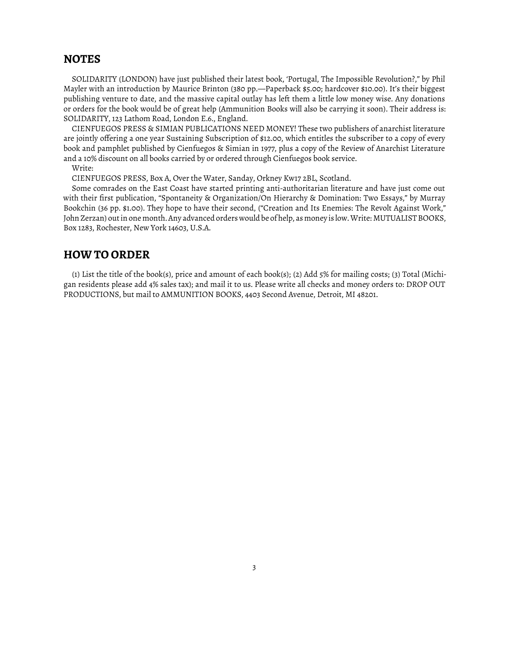## **NOTES**

SOLIDARITY (LONDON) have just published their latest book, 'Portugal, The Impossible Revolution?," by Phil Mayler with an introduction by Maurice Brinton (380 pp.—Paperback \$5.00; hardcover \$10.00). It's their biggest publishing venture to date, and the massive capital outlay has left them a little low money wise. Any donations or orders for the book would be of great help (Ammunition Books will also be carrying it soon). Their address is: SOLIDARITY, 123 Lathom Road, London E.6., England.

CIENFUEGOS PRESS & SIMIAN PUBLICATIONS NEED MONEY! These two publishers of anarchist literature are jointly offering a one year Sustaining Subscription of \$12.00, which entitles the subscriber to a copy of every book and pamphlet published by Cienfuegos & Simian in 1977, plus a copy of the Review of Anarchist Literature and a 10% discount on all books carried by or ordered through Cienfuegos book service.

Write:

CIENFUEGOS PRESS, Box A, Over the Water, Sanday, Orkney Kw17 2BL, Scotland.

Some comrades on the East Coast have started printing anti-authoritarian literature and have just come out with their first publication, "Spontaneity & Organization/On Hierarchy & Domination: Two Essays," by Murray Bookchin (36 pp. \$1.00). They hope to have their second, ("Creation and Its Enemies: The Revolt Against Work," John Zerzan) out in one month. Any advanced orders would be of help, as money is low. Write: MUTUALIST BOOKS, Box 1283, Rochester, New York 14603, U.S.A.

### **HOW TO ORDER**

(1) List the title of the book(s), price and amount of each book(s); (2) Add 5% for mailing costs; (3) Total (Michigan residents please add 4% sales tax); and mail it to us. Please write all checks and money orders to: DROP OUT PRODUCTIONS, but mail to AMMUNITION BOOKS, 4403 Second Avenue, Detroit, MI 48201.